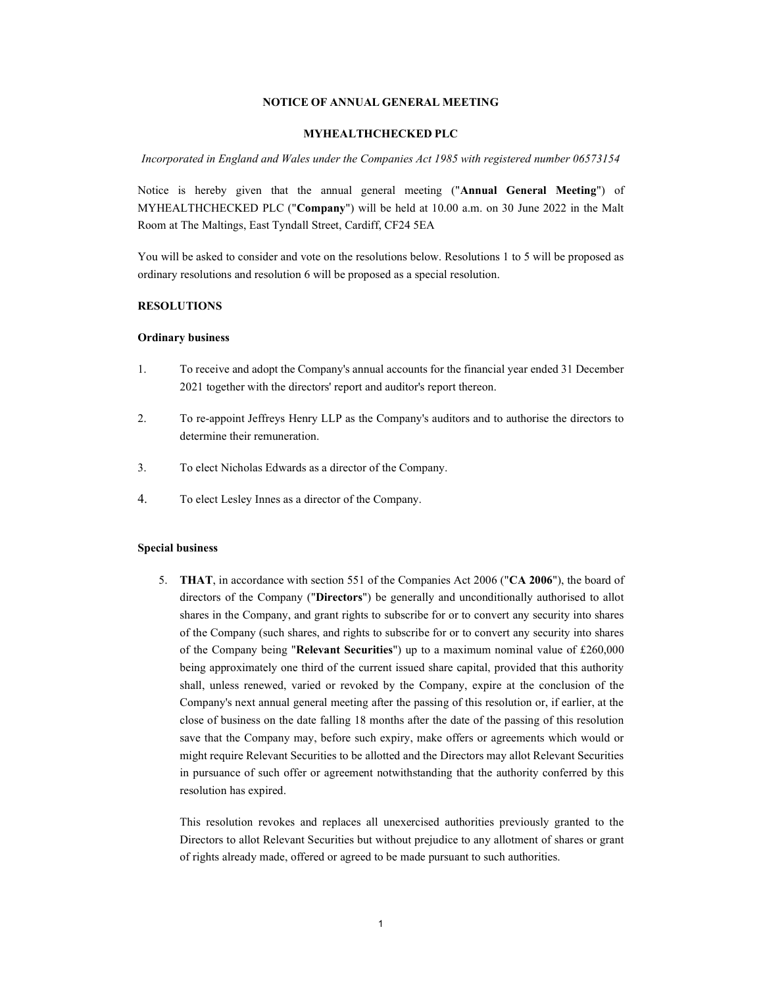# NOTICE OF ANNUAL GENERAL MEETING

# MYHEALTHCHECKED PLC

Incorporated in England and Wales under the Companies Act 1985 with registered number 06573154

Notice is hereby given that the annual general meeting ("Annual General Meeting") of MYHEALTHCHECKED PLC ("Company") will be held at 10.00 a.m. on 30 June 2022 in the Malt Room at The Maltings, East Tyndall Street, Cardiff, CF24 5EA

You will be asked to consider and vote on the resolutions below. Resolutions 1 to 5 will be proposed as ordinary resolutions and resolution 6 will be proposed as a special resolution.

## **RESOLUTIONS**

#### Ordinary business

- 1. To receive and adopt the Company's annual accounts for the financial year ended 31 December 2021 together with the directors' report and auditor's report thereon.
- 2. To re-appoint Jeffreys Henry LLP as the Company's auditors and to authorise the directors to determine their remuneration.
- 3. To elect Nicholas Edwards as a director of the Company.
- 4. To elect Lesley Innes as a director of the Company.

# Special business

5. THAT, in accordance with section 551 of the Companies Act 2006 ("CA 2006"), the board of directors of the Company ("Directors") be generally and unconditionally authorised to allot shares in the Company, and grant rights to subscribe for or to convert any security into shares of the Company (such shares, and rights to subscribe for or to convert any security into shares of the Company being "Relevant Securities") up to a maximum nominal value of  $£260,000$ being approximately one third of the current issued share capital, provided that this authority shall, unless renewed, varied or revoked by the Company, expire at the conclusion of the Company's next annual general meeting after the passing of this resolution or, if earlier, at the close of business on the date falling 18 months after the date of the passing of this resolution save that the Company may, before such expiry, make offers or agreements which would or might require Relevant Securities to be allotted and the Directors may allot Relevant Securities in pursuance of such offer or agreement notwithstanding that the authority conferred by this resolution has expired.

This resolution revokes and replaces all unexercised authorities previously granted to the Directors to allot Relevant Securities but without prejudice to any allotment of shares or grant of rights already made, offered or agreed to be made pursuant to such authorities.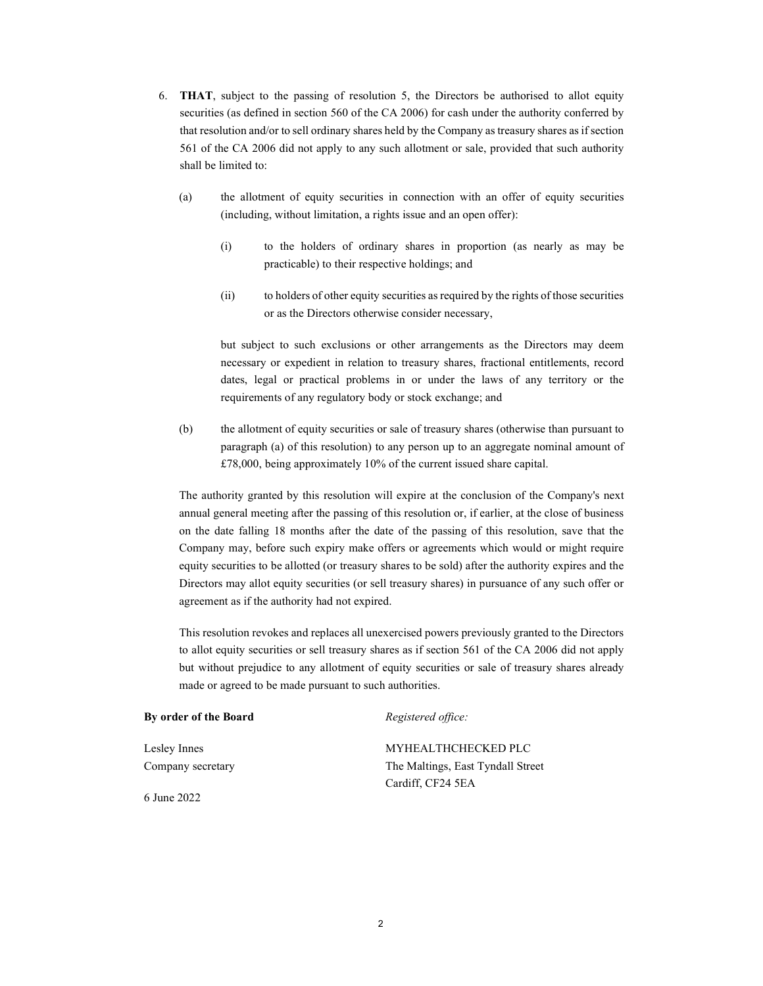- 6. THAT, subject to the passing of resolution 5, the Directors be authorised to allot equity securities (as defined in section 560 of the CA 2006) for cash under the authority conferred by that resolution and/or to sell ordinary shares held by the Company as treasury shares as if section 561 of the CA 2006 did not apply to any such allotment or sale, provided that such authority shall be limited to:
	- (a) the allotment of equity securities in connection with an offer of equity securities (including, without limitation, a rights issue and an open offer):
		- (i) to the holders of ordinary shares in proportion (as nearly as may be practicable) to their respective holdings; and
		- (ii) to holders of other equity securities as required by the rights of those securities or as the Directors otherwise consider necessary,

but subject to such exclusions or other arrangements as the Directors may deem necessary or expedient in relation to treasury shares, fractional entitlements, record dates, legal or practical problems in or under the laws of any territory or the requirements of any regulatory body or stock exchange; and

(b) the allotment of equity securities or sale of treasury shares (otherwise than pursuant to paragraph (a) of this resolution) to any person up to an aggregate nominal amount of £78,000, being approximately 10% of the current issued share capital.

The authority granted by this resolution will expire at the conclusion of the Company's next annual general meeting after the passing of this resolution or, if earlier, at the close of business on the date falling 18 months after the date of the passing of this resolution, save that the Company may, before such expiry make offers or agreements which would or might require equity securities to be allotted (or treasury shares to be sold) after the authority expires and the Directors may allot equity securities (or sell treasury shares) in pursuance of any such offer or agreement as if the authority had not expired.

This resolution revokes and replaces all unexercised powers previously granted to the Directors to allot equity securities or sell treasury shares as if section 561 of the CA 2006 did not apply but without prejudice to any allotment of equity securities or sale of treasury shares already made or agreed to be made pursuant to such authorities.

| By order of the Board | Registered office:                |
|-----------------------|-----------------------------------|
| Lesley Innes          | MYHEALTHCHECKED PLC               |
| Company secretary     | The Maltings, East Tyndall Street |
|                       | Cardiff, CF24 5EA                 |
| 6 June 2022           |                                   |

2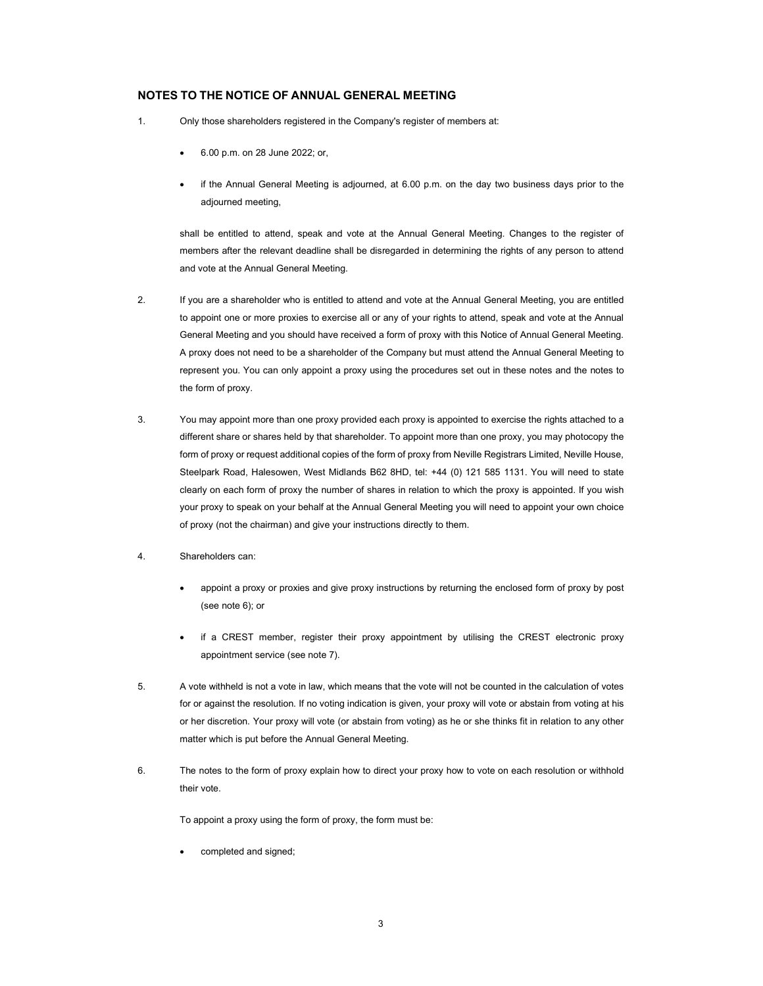### NOTES TO THE NOTICE OF ANNUAL GENERAL MEETING

- 1. Only those shareholders registered in the Company's register of members at:
	- 6.00 p.m. on 28 June 2022; or,
	- if the Annual General Meeting is adjourned, at 6.00 p.m. on the day two business days prior to the adjourned meeting,

shall be entitled to attend, speak and vote at the Annual General Meeting. Changes to the register of members after the relevant deadline shall be disregarded in determining the rights of any person to attend and vote at the Annual General Meeting.

- 2. If you are a shareholder who is entitled to attend and vote at the Annual General Meeting, you are entitled to appoint one or more proxies to exercise all or any of your rights to attend, speak and vote at the Annual General Meeting and you should have received a form of proxy with this Notice of Annual General Meeting. A proxy does not need to be a shareholder of the Company but must attend the Annual General Meeting to represent you. You can only appoint a proxy using the procedures set out in these notes and the notes to the form of proxy.
- 3. You may appoint more than one proxy provided each proxy is appointed to exercise the rights attached to a different share or shares held by that shareholder. To appoint more than one proxy, you may photocopy the form of proxy or request additional copies of the form of proxy from Neville Registrars Limited, Neville House, Steelpark Road, Halesowen, West Midlands B62 8HD, tel: +44 (0) 121 585 1131. You will need to state clearly on each form of proxy the number of shares in relation to which the proxy is appointed. If you wish your proxy to speak on your behalf at the Annual General Meeting you will need to appoint your own choice of proxy (not the chairman) and give your instructions directly to them.
- 4. Shareholders can:
	- appoint a proxy or proxies and give proxy instructions by returning the enclosed form of proxy by post (see note 6); or
	- if a CREST member, register their proxy appointment by utilising the CREST electronic proxy appointment service (see note 7).
- 5. A vote withheld is not a vote in law, which means that the vote will not be counted in the calculation of votes for or against the resolution. If no voting indication is given, your proxy will vote or abstain from voting at his or her discretion. Your proxy will vote (or abstain from voting) as he or she thinks fit in relation to any other matter which is put before the Annual General Meeting.
- 6. The notes to the form of proxy explain how to direct your proxy how to vote on each resolution or withhold their vote.

To appoint a proxy using the form of proxy, the form must be:

completed and signed;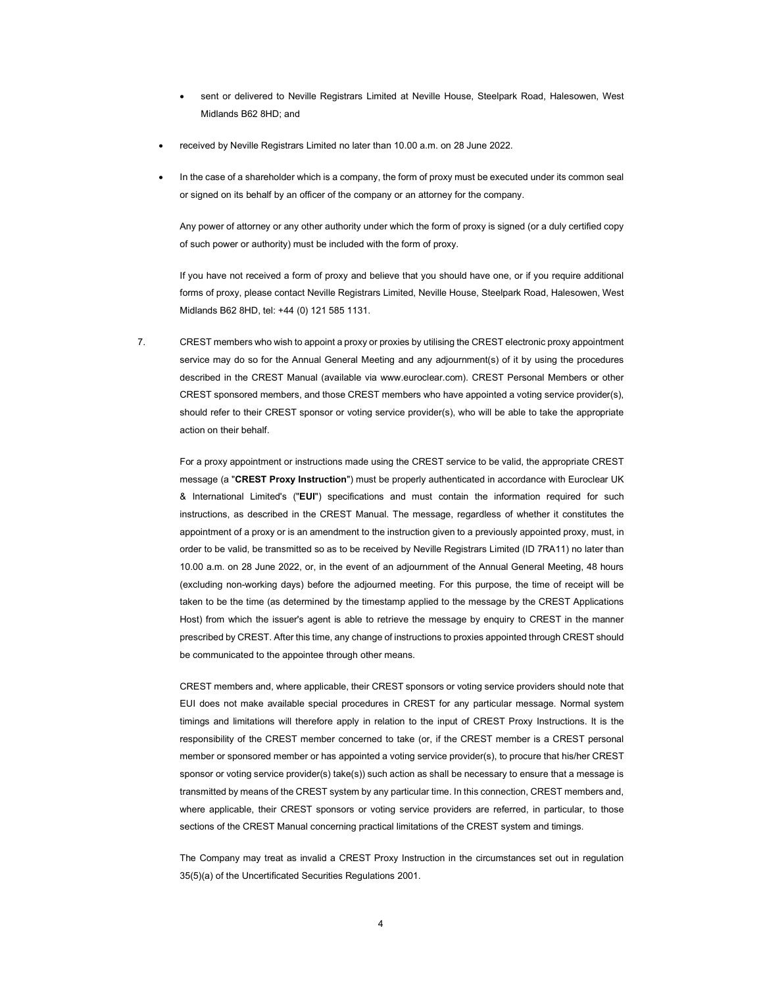- sent or delivered to Neville Registrars Limited at Neville House, Steelpark Road, Halesowen, West Midlands B62 8HD; and
- received by Neville Registrars Limited no later than 10.00 a.m. on 28 June 2022.
- In the case of a shareholder which is a company, the form of proxy must be executed under its common seal or signed on its behalf by an officer of the company or an attorney for the company.

Any power of attorney or any other authority under which the form of proxy is signed (or a duly certified copy of such power or authority) must be included with the form of proxy.

If you have not received a form of proxy and believe that you should have one, or if you require additional forms of proxy, please contact Neville Registrars Limited, Neville House, Steelpark Road, Halesowen, West Midlands B62 8HD, tel: +44 (0) 121 585 1131.

7. CREST members who wish to appoint a proxy or proxies by utilising the CREST electronic proxy appointment service may do so for the Annual General Meeting and any adjournment(s) of it by using the procedures described in the CREST Manual (available via www.euroclear.com). CREST Personal Members or other CREST sponsored members, and those CREST members who have appointed a voting service provider(s), should refer to their CREST sponsor or voting service provider(s), who will be able to take the appropriate action on their behalf.

For a proxy appointment or instructions made using the CREST service to be valid, the appropriate CREST message (a "CREST Proxy Instruction") must be properly authenticated in accordance with Euroclear UK & International Limited's ("EUI") specifications and must contain the information required for such instructions, as described in the CREST Manual. The message, regardless of whether it constitutes the appointment of a proxy or is an amendment to the instruction given to a previously appointed proxy, must, in order to be valid, be transmitted so as to be received by Neville Registrars Limited (ID 7RA11) no later than 10.00 a.m. on 28 June 2022, or, in the event of an adjournment of the Annual General Meeting, 48 hours (excluding non-working days) before the adjourned meeting. For this purpose, the time of receipt will be taken to be the time (as determined by the timestamp applied to the message by the CREST Applications Host) from which the issuer's agent is able to retrieve the message by enquiry to CREST in the manner prescribed by CREST. After this time, any change of instructions to proxies appointed through CREST should be communicated to the appointee through other means.

CREST members and, where applicable, their CREST sponsors or voting service providers should note that EUI does not make available special procedures in CREST for any particular message. Normal system timings and limitations will therefore apply in relation to the input of CREST Proxy Instructions. It is the responsibility of the CREST member concerned to take (or, if the CREST member is a CREST personal member or sponsored member or has appointed a voting service provider(s), to procure that his/her CREST sponsor or voting service provider(s) take(s)) such action as shall be necessary to ensure that a message is transmitted by means of the CREST system by any particular time. In this connection, CREST members and, where applicable, their CREST sponsors or voting service providers are referred, in particular, to those sections of the CREST Manual concerning practical limitations of the CREST system and timings.

The Company may treat as invalid a CREST Proxy Instruction in the circumstances set out in regulation 35(5)(a) of the Uncertificated Securities Regulations 2001.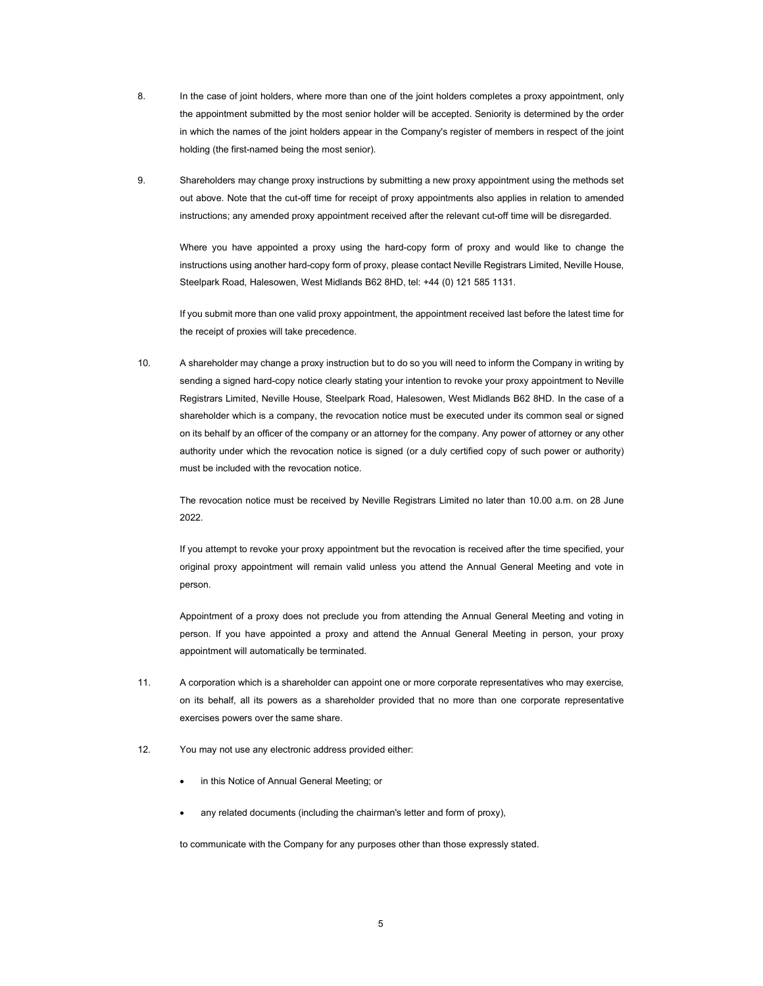- 8. In the case of joint holders, where more than one of the joint holders completes a proxy appointment, only the appointment submitted by the most senior holder will be accepted. Seniority is determined by the order in which the names of the joint holders appear in the Company's register of members in respect of the joint holding (the first-named being the most senior).
- 9. Shareholders may change proxy instructions by submitting a new proxy appointment using the methods set out above. Note that the cut-off time for receipt of proxy appointments also applies in relation to amended instructions; any amended proxy appointment received after the relevant cut-off time will be disregarded.

Where you have appointed a proxy using the hard-copy form of proxy and would like to change the instructions using another hard-copy form of proxy, please contact Neville Registrars Limited, Neville House, Steelpark Road, Halesowen, West Midlands B62 8HD, tel: +44 (0) 121 585 1131.

If you submit more than one valid proxy appointment, the appointment received last before the latest time for the receipt of proxies will take precedence.

10. A shareholder may change a proxy instruction but to do so you will need to inform the Company in writing by sending a signed hard-copy notice clearly stating your intention to revoke your proxy appointment to Neville Registrars Limited, Neville House, Steelpark Road, Halesowen, West Midlands B62 8HD. In the case of a shareholder which is a company, the revocation notice must be executed under its common seal or signed on its behalf by an officer of the company or an attorney for the company. Any power of attorney or any other authority under which the revocation notice is signed (or a duly certified copy of such power or authority) must be included with the revocation notice.

The revocation notice must be received by Neville Registrars Limited no later than 10.00 a.m. on 28 June 2022.

If you attempt to revoke your proxy appointment but the revocation is received after the time specified, your original proxy appointment will remain valid unless you attend the Annual General Meeting and vote in person.

Appointment of a proxy does not preclude you from attending the Annual General Meeting and voting in person. If you have appointed a proxy and attend the Annual General Meeting in person, your proxy appointment will automatically be terminated.

- 11. A corporation which is a shareholder can appoint one or more corporate representatives who may exercise, on its behalf, all its powers as a shareholder provided that no more than one corporate representative exercises powers over the same share.
- 12. You may not use any electronic address provided either:
	- in this Notice of Annual General Meeting; or
	- any related documents (including the chairman's letter and form of proxy),

to communicate with the Company for any purposes other than those expressly stated.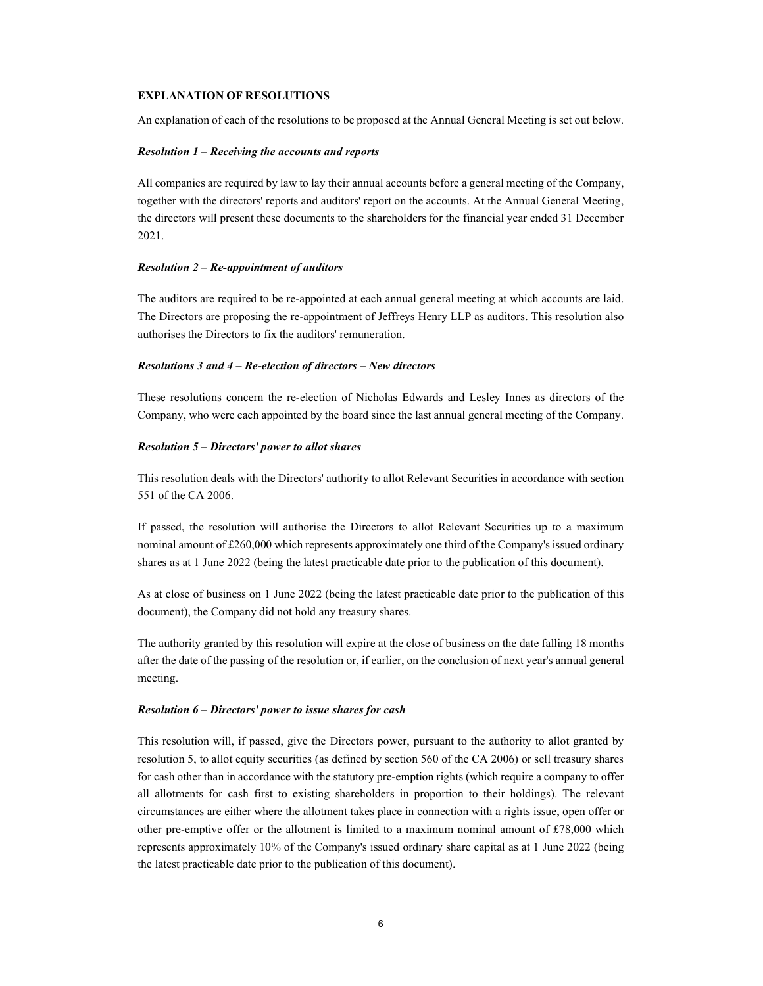## EXPLANATION OF RESOLUTIONS

An explanation of each of the resolutions to be proposed at the Annual General Meeting is set out below.

## Resolution 1 – Receiving the accounts and reports

All companies are required by law to lay their annual accounts before a general meeting of the Company, together with the directors' reports and auditors' report on the accounts. At the Annual General Meeting, the directors will present these documents to the shareholders for the financial year ended 31 December 2021.

### Resolution 2 – Re-appointment of auditors

The auditors are required to be re-appointed at each annual general meeting at which accounts are laid. The Directors are proposing the re-appointment of Jeffreys Henry LLP as auditors. This resolution also authorises the Directors to fix the auditors' remuneration.

# Resolutions 3 and 4 – Re-election of directors – New directors

These resolutions concern the re-election of Nicholas Edwards and Lesley Innes as directors of the Company, who were each appointed by the board since the last annual general meeting of the Company.

#### Resolution 5 – Directors' power to allot shares

This resolution deals with the Directors' authority to allot Relevant Securities in accordance with section 551 of the CA 2006.

If passed, the resolution will authorise the Directors to allot Relevant Securities up to a maximum nominal amount of £260,000 which represents approximately one third of the Company's issued ordinary shares as at 1 June 2022 (being the latest practicable date prior to the publication of this document).

As at close of business on 1 June 2022 (being the latest practicable date prior to the publication of this document), the Company did not hold any treasury shares.

The authority granted by this resolution will expire at the close of business on the date falling 18 months after the date of the passing of the resolution or, if earlier, on the conclusion of next year's annual general meeting.

## Resolution 6 – Directors' power to issue shares for cash

This resolution will, if passed, give the Directors power, pursuant to the authority to allot granted by resolution 5, to allot equity securities (as defined by section 560 of the CA 2006) or sell treasury shares for cash other than in accordance with the statutory pre-emption rights (which require a company to offer all allotments for cash first to existing shareholders in proportion to their holdings). The relevant circumstances are either where the allotment takes place in connection with a rights issue, open offer or other pre-emptive offer or the allotment is limited to a maximum nominal amount of £78,000 which represents approximately 10% of the Company's issued ordinary share capital as at 1 June 2022 (being the latest practicable date prior to the publication of this document).